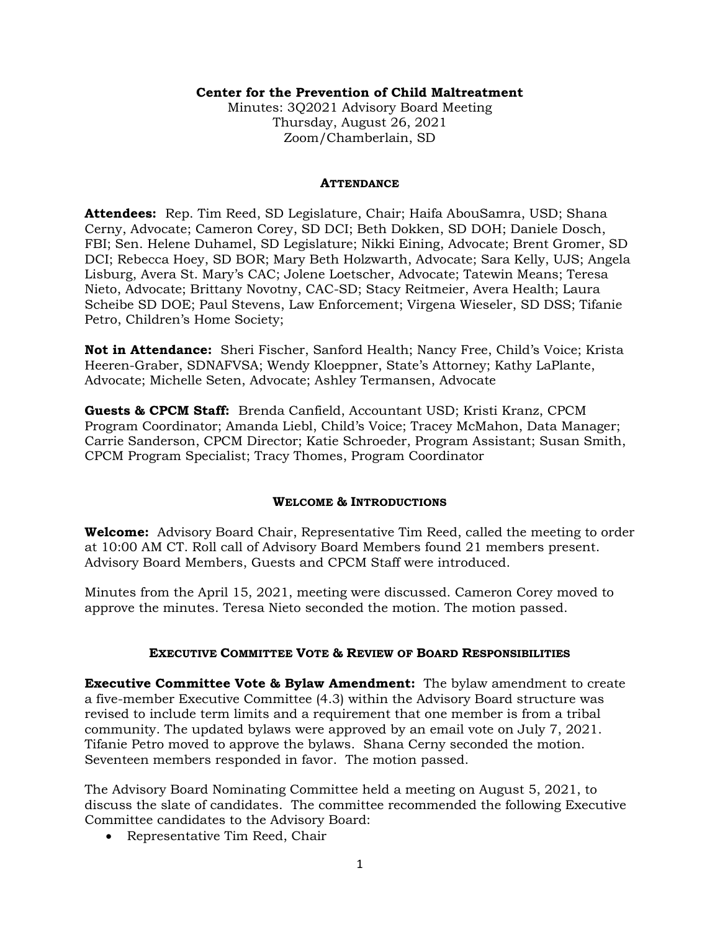### **Center for the Prevention of Child Maltreatment**

Minutes: 3Q2021 Advisory Board Meeting Thursday, August 26, 2021 Zoom/Chamberlain, SD

#### **ATTENDANCE**

**Attendees:** Rep. Tim Reed, SD Legislature, Chair; Haifa AbouSamra, USD; Shana Cerny, Advocate; Cameron Corey, SD DCI; Beth Dokken, SD DOH; Daniele Dosch, FBI; Sen. Helene Duhamel, SD Legislature; Nikki Eining, Advocate; Brent Gromer, SD DCI; Rebecca Hoey, SD BOR; Mary Beth Holzwarth, Advocate; Sara Kelly, UJS; Angela Lisburg, Avera St. Mary's CAC; Jolene Loetscher, Advocate; Tatewin Means; Teresa Nieto, Advocate; Brittany Novotny, CAC-SD; Stacy Reitmeier, Avera Health; Laura Scheibe SD DOE; Paul Stevens, Law Enforcement; Virgena Wieseler, SD DSS; Tifanie Petro, Children's Home Society;

**Not in Attendance:** Sheri Fischer, Sanford Health; Nancy Free, Child's Voice; Krista Heeren-Graber, SDNAFVSA; Wendy Kloeppner, State's Attorney; Kathy LaPlante, Advocate; Michelle Seten, Advocate; Ashley Termansen, Advocate

**Guests & CPCM Staff:** Brenda Canfield, Accountant USD; Kristi Kranz, CPCM Program Coordinator; Amanda Liebl, Child's Voice; Tracey McMahon, Data Manager; Carrie Sanderson, CPCM Director; Katie Schroeder, Program Assistant; Susan Smith, CPCM Program Specialist; Tracy Thomes, Program Coordinator

### **WELCOME & INTRODUCTIONS**

**Welcome:** Advisory Board Chair, Representative Tim Reed, called the meeting to order at 10:00 AM CT. Roll call of Advisory Board Members found 21 members present. Advisory Board Members, Guests and CPCM Staff were introduced.

Minutes from the April 15, 2021, meeting were discussed. Cameron Corey moved to approve the minutes. Teresa Nieto seconded the motion. The motion passed.

### **EXECUTIVE COMMITTEE VOTE & REVIEW OF BOARD RESPONSIBILITIES**

**Executive Committee Vote & Bylaw Amendment:** The bylaw amendment to create a five-member Executive Committee (4.3) within the Advisory Board structure was revised to include term limits and a requirement that one member is from a tribal community. The updated bylaws were approved by an email vote on July 7, 2021. Tifanie Petro moved to approve the bylaws. Shana Cerny seconded the motion. Seventeen members responded in favor. The motion passed.

The Advisory Board Nominating Committee held a meeting on August 5, 2021, to discuss the slate of candidates. The committee recommended the following Executive Committee candidates to the Advisory Board:

• Representative Tim Reed, Chair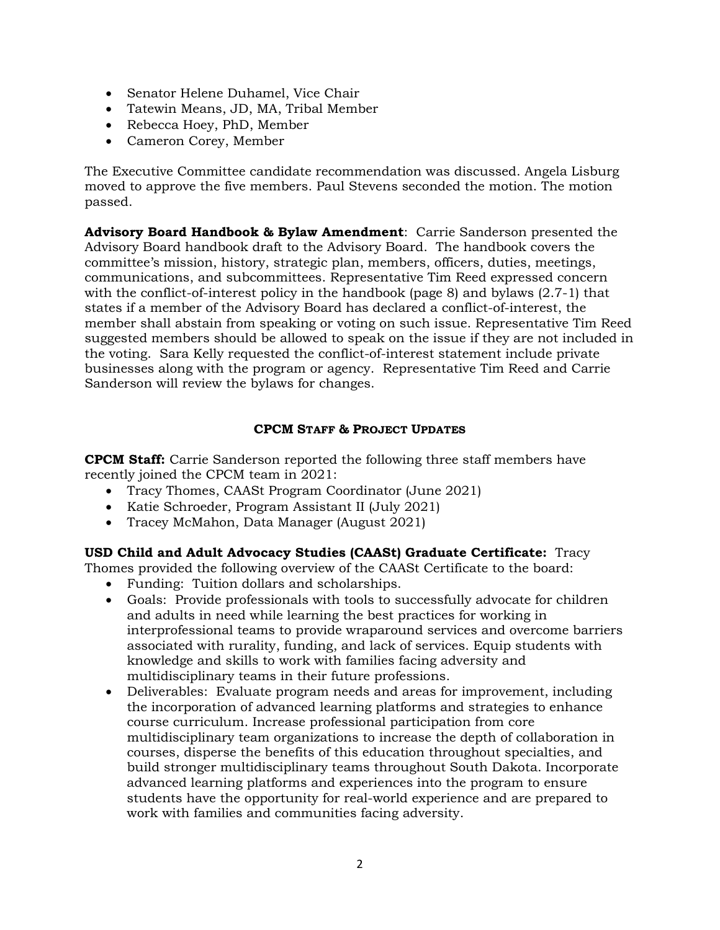- Senator Helene Duhamel, Vice Chair
- Tatewin Means, JD, MA, Tribal Member
- Rebecca Hoey, PhD, Member
- Cameron Corey, Member

The Executive Committee candidate recommendation was discussed. Angela Lisburg moved to approve the five members. Paul Stevens seconded the motion. The motion passed.

**Advisory Board Handbook & Bylaw Amendment**: Carrie Sanderson presented the Advisory Board handbook draft to the Advisory Board. The handbook covers the committee's mission, history, strategic plan, members, officers, duties, meetings, communications, and subcommittees. Representative Tim Reed expressed concern with the conflict-of-interest policy in the handbook (page 8) and bylaws (2.7-1) that states if a member of the Advisory Board has declared a conflict-of-interest, the member shall abstain from speaking or voting on such issue. Representative Tim Reed suggested members should be allowed to speak on the issue if they are not included in the voting. Sara Kelly requested the conflict-of-interest statement include private businesses along with the program or agency. Representative Tim Reed and Carrie Sanderson will review the bylaws for changes.

# **CPCM STAFF & PROJECT UPDATES**

**CPCM Staff:** Carrie Sanderson reported the following three staff members have recently joined the CPCM team in 2021:

- Tracy Thomes, CAASt Program Coordinator (June 2021)
- Katie Schroeder, Program Assistant II (July 2021)
- Tracey McMahon, Data Manager (August 2021)

**USD Child and Adult Advocacy Studies (CAASt) Graduate Certificate:** Tracy

Thomes provided the following overview of the CAASt Certificate to the board:

- Funding: Tuition dollars and scholarships.
- Goals: Provide professionals with tools to successfully advocate for children and adults in need while learning the best practices for working in interprofessional teams to provide wraparound services and overcome barriers associated with rurality, funding, and lack of services. Equip students with knowledge and skills to work with families facing adversity and multidisciplinary teams in their future professions.
- Deliverables: Evaluate program needs and areas for improvement, including the incorporation of advanced learning platforms and strategies to enhance course curriculum. Increase professional participation from core multidisciplinary team organizations to increase the depth of collaboration in courses, disperse the benefits of this education throughout specialties, and build stronger multidisciplinary teams throughout South Dakota. Incorporate advanced learning platforms and experiences into the program to ensure students have the opportunity for real-world experience and are prepared to work with families and communities facing adversity.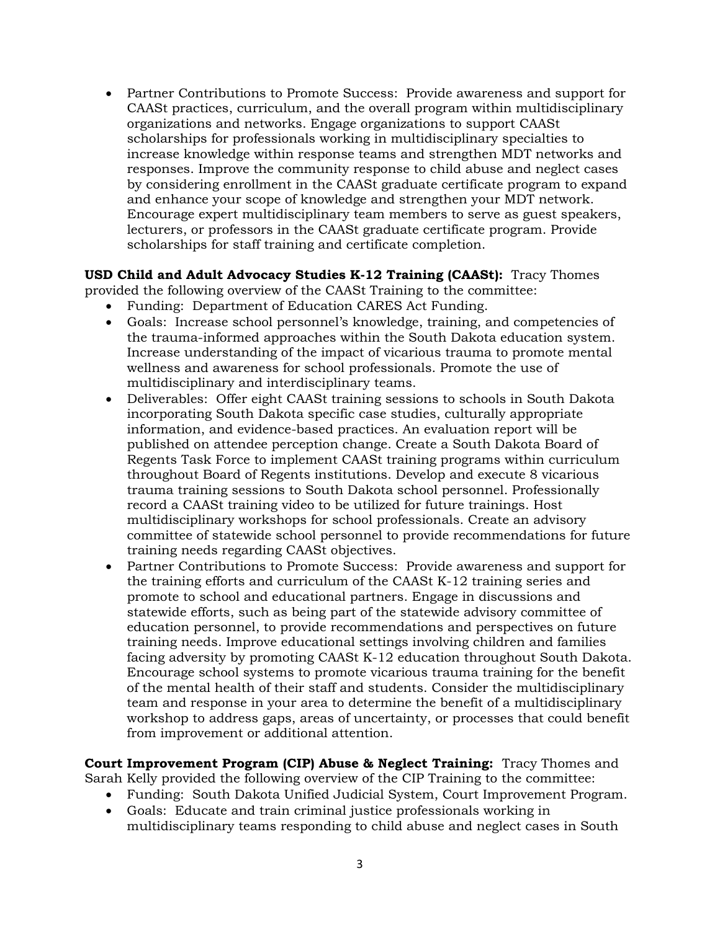• Partner Contributions to Promote Success: Provide awareness and support for CAASt practices, curriculum, and the overall program within multidisciplinary organizations and networks. Engage organizations to support CAASt scholarships for professionals working in multidisciplinary specialties to increase knowledge within response teams and strengthen MDT networks and responses. Improve the community response to child abuse and neglect cases by considering enrollment in the CAASt graduate certificate program to expand and enhance your scope of knowledge and strengthen your MDT network. Encourage expert multidisciplinary team members to serve as guest speakers, lecturers, or professors in the CAASt graduate certificate program. Provide scholarships for staff training and certificate completion.

**USD Child and Adult Advocacy Studies K-12 Training (CAASt):** Tracy Thomes provided the following overview of the CAASt Training to the committee:

- Funding: Department of Education CARES Act Funding.
- Goals: Increase school personnel's knowledge, training, and competencies of the trauma-informed approaches within the South Dakota education system. Increase understanding of the impact of vicarious trauma to promote mental wellness and awareness for school professionals. Promote the use of multidisciplinary and interdisciplinary teams.
- Deliverables: Offer eight CAASt training sessions to schools in South Dakota incorporating South Dakota specific case studies, culturally appropriate information, and evidence-based practices. An evaluation report will be published on attendee perception change. Create a South Dakota Board of Regents Task Force to implement CAASt training programs within curriculum throughout Board of Regents institutions. Develop and execute 8 vicarious trauma training sessions to South Dakota school personnel. Professionally record a CAASt training video to be utilized for future trainings. Host multidisciplinary workshops for school professionals. Create an advisory committee of statewide school personnel to provide recommendations for future training needs regarding CAASt objectives.
- Partner Contributions to Promote Success: Provide awareness and support for the training efforts and curriculum of the CAASt K-12 training series and promote to school and educational partners. Engage in discussions and statewide efforts, such as being part of the statewide advisory committee of education personnel, to provide recommendations and perspectives on future training needs. Improve educational settings involving children and families facing adversity by promoting CAASt K-12 education throughout South Dakota. Encourage school systems to promote vicarious trauma training for the benefit of the mental health of their staff and students. Consider the multidisciplinary team and response in your area to determine the benefit of a multidisciplinary workshop to address gaps, areas of uncertainty, or processes that could benefit from improvement or additional attention.

**Court Improvement Program (CIP) Abuse & Neglect Training:** Tracy Thomes and Sarah Kelly provided the following overview of the CIP Training to the committee:

- Funding: South Dakota Unified Judicial System, Court Improvement Program.
- Goals: Educate and train criminal justice professionals working in multidisciplinary teams responding to child abuse and neglect cases in South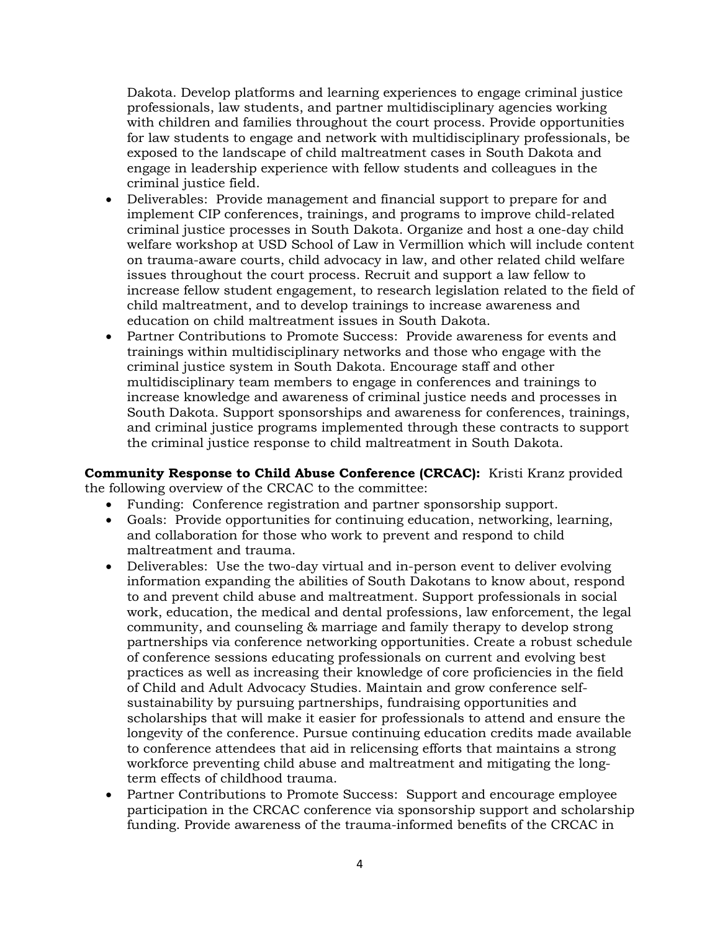Dakota. Develop platforms and learning experiences to engage criminal justice professionals, law students, and partner multidisciplinary agencies working with children and families throughout the court process. Provide opportunities for law students to engage and network with multidisciplinary professionals, be exposed to the landscape of child maltreatment cases in South Dakota and engage in leadership experience with fellow students and colleagues in the criminal justice field.

- Deliverables: Provide management and financial support to prepare for and implement CIP conferences, trainings, and programs to improve child-related criminal justice processes in South Dakota. Organize and host a one-day child welfare workshop at USD School of Law in Vermillion which will include content on trauma-aware courts, child advocacy in law, and other related child welfare issues throughout the court process. Recruit and support a law fellow to increase fellow student engagement, to research legislation related to the field of child maltreatment, and to develop trainings to increase awareness and education on child maltreatment issues in South Dakota.
- Partner Contributions to Promote Success: Provide awareness for events and trainings within multidisciplinary networks and those who engage with the criminal justice system in South Dakota. Encourage staff and other multidisciplinary team members to engage in conferences and trainings to increase knowledge and awareness of criminal justice needs and processes in South Dakota. Support sponsorships and awareness for conferences, trainings, and criminal justice programs implemented through these contracts to support the criminal justice response to child maltreatment in South Dakota.

**Community Response to Child Abuse Conference (CRCAC):** Kristi Kranz provided the following overview of the CRCAC to the committee:

- Funding: Conference registration and partner sponsorship support.
- Goals: Provide opportunities for continuing education, networking, learning, and collaboration for those who work to prevent and respond to child maltreatment and trauma.
- Deliverables: Use the two-day virtual and in-person event to deliver evolving information expanding the abilities of South Dakotans to know about, respond to and prevent child abuse and maltreatment. Support professionals in social work, education, the medical and dental professions, law enforcement, the legal community, and counseling & marriage and family therapy to develop strong partnerships via conference networking opportunities. Create a robust schedule of conference sessions educating professionals on current and evolving best practices as well as increasing their knowledge of core proficiencies in the field of Child and Adult Advocacy Studies. Maintain and grow conference selfsustainability by pursuing partnerships, fundraising opportunities and scholarships that will make it easier for professionals to attend and ensure the longevity of the conference. Pursue continuing education credits made available to conference attendees that aid in relicensing efforts that maintains a strong workforce preventing child abuse and maltreatment and mitigating the longterm effects of childhood trauma.
- Partner Contributions to Promote Success: Support and encourage employee participation in the CRCAC conference via sponsorship support and scholarship funding. Provide awareness of the trauma-informed benefits of the CRCAC in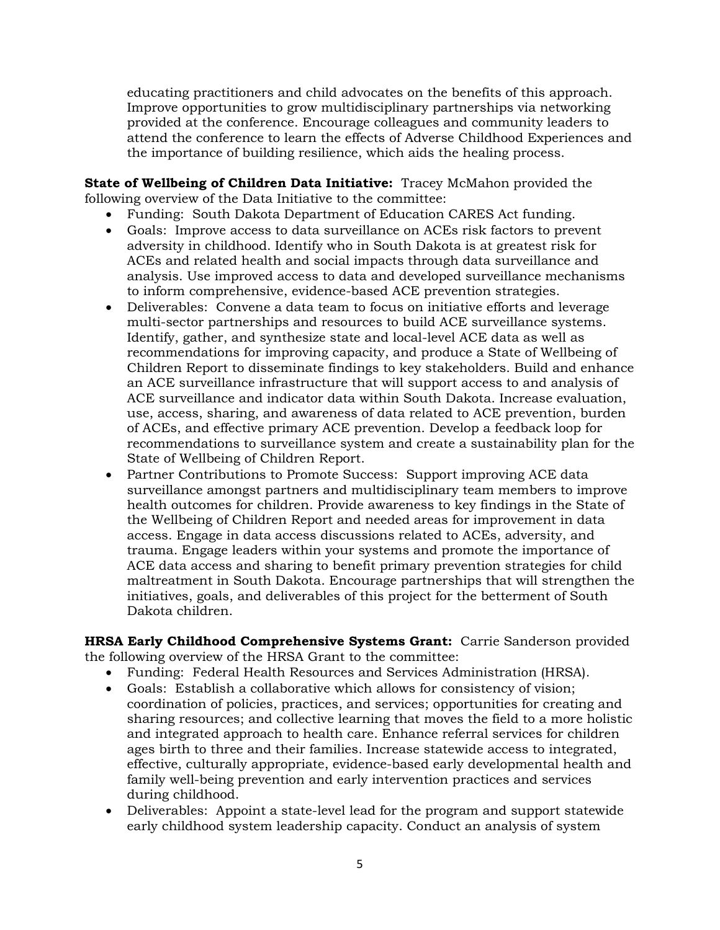educating practitioners and child advocates on the benefits of this approach. Improve opportunities to grow multidisciplinary partnerships via networking provided at the conference. Encourage colleagues and community leaders to attend the conference to learn the effects of Adverse Childhood Experiences and the importance of building resilience, which aids the healing process.

**State of Wellbeing of Children Data Initiative:** Tracey McMahon provided the following overview of the Data Initiative to the committee:

- Funding: South Dakota Department of Education CARES Act funding.
- Goals: Improve access to data surveillance on ACEs risk factors to prevent adversity in childhood. Identify who in South Dakota is at greatest risk for ACEs and related health and social impacts through data surveillance and analysis. Use improved access to data and developed surveillance mechanisms to inform comprehensive, evidence-based ACE prevention strategies.
- Deliverables: Convene a data team to focus on initiative efforts and leverage multi-sector partnerships and resources to build ACE surveillance systems. Identify, gather, and synthesize state and local-level ACE data as well as recommendations for improving capacity, and produce a State of Wellbeing of Children Report to disseminate findings to key stakeholders. Build and enhance an ACE surveillance infrastructure that will support access to and analysis of ACE surveillance and indicator data within South Dakota. Increase evaluation, use, access, sharing, and awareness of data related to ACE prevention, burden of ACEs, and effective primary ACE prevention. Develop a feedback loop for recommendations to surveillance system and create a sustainability plan for the State of Wellbeing of Children Report.
- Partner Contributions to Promote Success: Support improving ACE data surveillance amongst partners and multidisciplinary team members to improve health outcomes for children. Provide awareness to key findings in the State of the Wellbeing of Children Report and needed areas for improvement in data access. Engage in data access discussions related to ACEs, adversity, and trauma. Engage leaders within your systems and promote the importance of ACE data access and sharing to benefit primary prevention strategies for child maltreatment in South Dakota. Encourage partnerships that will strengthen the initiatives, goals, and deliverables of this project for the betterment of South Dakota children.

**HRSA Early Childhood Comprehensive Systems Grant:** Carrie Sanderson provided the following overview of the HRSA Grant to the committee:

- Funding: Federal Health Resources and Services Administration (HRSA).
- Goals: Establish a collaborative which allows for consistency of vision; coordination of policies, practices, and services; opportunities for creating and sharing resources; and collective learning that moves the field to a more holistic and integrated approach to health care. Enhance referral services for children ages birth to three and their families. Increase statewide access to integrated, effective, culturally appropriate, evidence-based early developmental health and family well-being prevention and early intervention practices and services during childhood.
- Deliverables: Appoint a state-level lead for the program and support statewide early childhood system leadership capacity. Conduct an analysis of system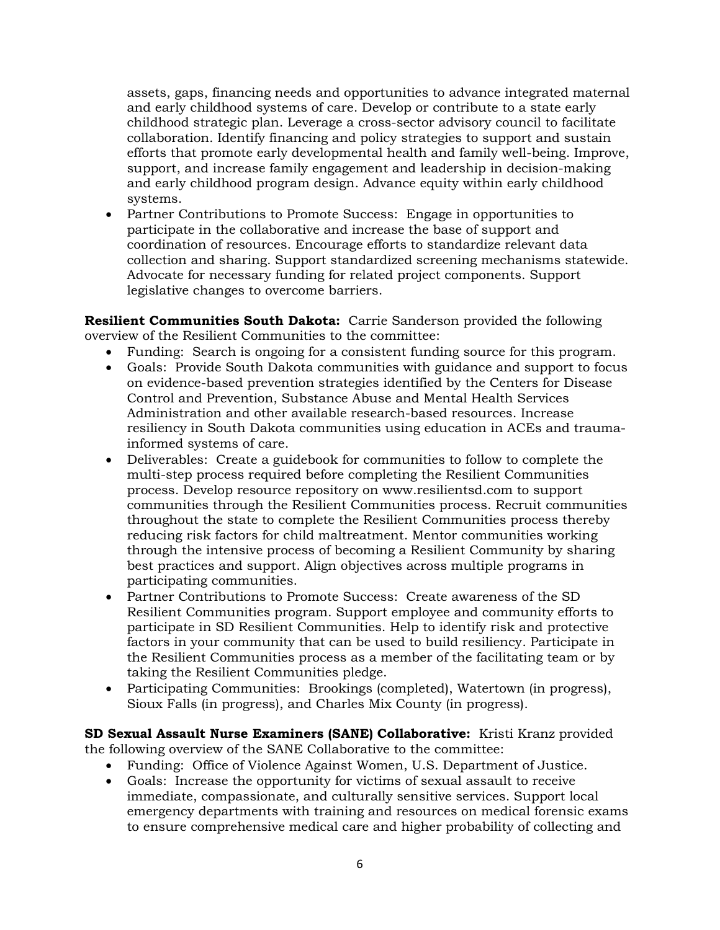assets, gaps, financing needs and opportunities to advance integrated maternal and early childhood systems of care. Develop or contribute to a state early childhood strategic plan. Leverage a cross-sector advisory council to facilitate collaboration. Identify financing and policy strategies to support and sustain efforts that promote early developmental health and family well-being. Improve, support, and increase family engagement and leadership in decision-making and early childhood program design. Advance equity within early childhood systems.

• Partner Contributions to Promote Success: Engage in opportunities to participate in the collaborative and increase the base of support and coordination of resources. Encourage efforts to standardize relevant data collection and sharing. Support standardized screening mechanisms statewide. Advocate for necessary funding for related project components. Support legislative changes to overcome barriers.

**Resilient Communities South Dakota:** Carrie Sanderson provided the following overview of the Resilient Communities to the committee:

- Funding: Search is ongoing for a consistent funding source for this program.
- Goals: Provide South Dakota communities with guidance and support to focus on evidence-based prevention strategies identified by the Centers for Disease Control and Prevention, Substance Abuse and Mental Health Services Administration and other available research-based resources. Increase resiliency in South Dakota communities using education in ACEs and traumainformed systems of care.
- Deliverables: Create a guidebook for communities to follow to complete the multi-step process required before completing the Resilient Communities process. Develop resource repository on www.resilientsd.com to support communities through the Resilient Communities process. Recruit communities throughout the state to complete the Resilient Communities process thereby reducing risk factors for child maltreatment. Mentor communities working through the intensive process of becoming a Resilient Community by sharing best practices and support. Align objectives across multiple programs in participating communities.
- Partner Contributions to Promote Success: Create awareness of the SD Resilient Communities program. Support employee and community efforts to participate in SD Resilient Communities. Help to identify risk and protective factors in your community that can be used to build resiliency. Participate in the Resilient Communities process as a member of the facilitating team or by taking the Resilient Communities pledge.
- Participating Communities: Brookings (completed), Watertown (in progress), Sioux Falls (in progress), and Charles Mix County (in progress).

**SD Sexual Assault Nurse Examiners (SANE) Collaborative:** Kristi Kranz provided the following overview of the SANE Collaborative to the committee:

- Funding: Office of Violence Against Women, U.S. Department of Justice.
- Goals: Increase the opportunity for victims of sexual assault to receive immediate, compassionate, and culturally sensitive services. Support local emergency departments with training and resources on medical forensic exams to ensure comprehensive medical care and higher probability of collecting and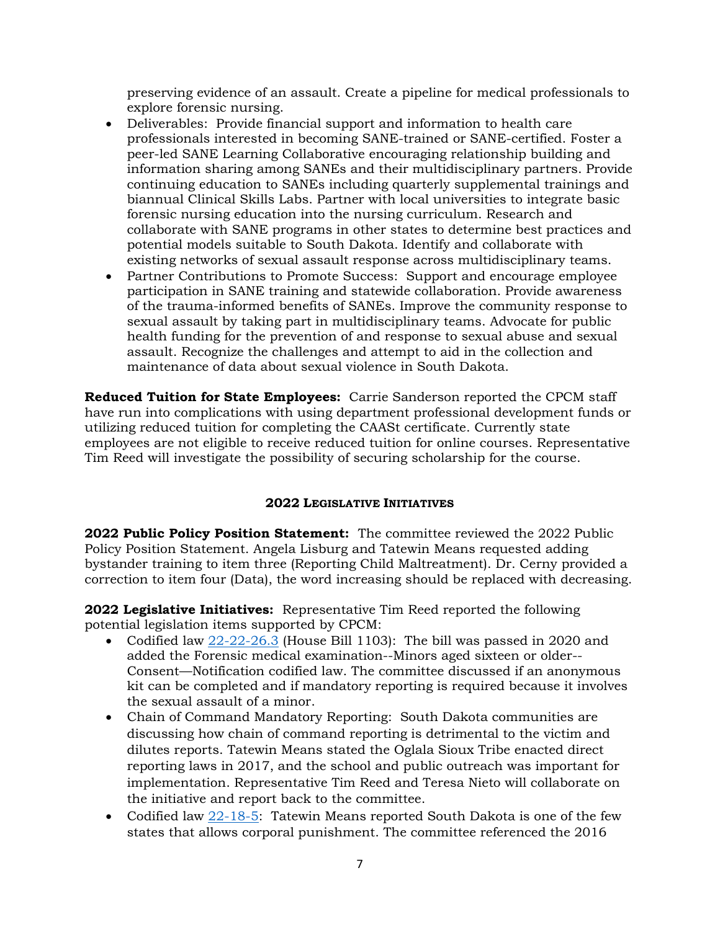preserving evidence of an assault. Create a pipeline for medical professionals to explore forensic nursing.

- Deliverables: Provide financial support and information to health care professionals interested in becoming SANE-trained or SANE-certified. Foster a peer-led SANE Learning Collaborative encouraging relationship building and information sharing among SANEs and their multidisciplinary partners. Provide continuing education to SANEs including quarterly supplemental trainings and biannual Clinical Skills Labs. Partner with local universities to integrate basic forensic nursing education into the nursing curriculum. Research and collaborate with SANE programs in other states to determine best practices and potential models suitable to South Dakota. Identify and collaborate with existing networks of sexual assault response across multidisciplinary teams.
- Partner Contributions to Promote Success: Support and encourage employee participation in SANE training and statewide collaboration. Provide awareness of the trauma-informed benefits of SANEs. Improve the community response to sexual assault by taking part in multidisciplinary teams. Advocate for public health funding for the prevention of and response to sexual abuse and sexual assault. Recognize the challenges and attempt to aid in the collection and maintenance of data about sexual violence in South Dakota.

**Reduced Tuition for State Employees:** Carrie Sanderson reported the CPCM staff have run into complications with using department professional development funds or utilizing reduced tuition for completing the CAASt certificate. Currently state employees are not eligible to receive reduced tuition for online courses. Representative Tim Reed will investigate the possibility of securing scholarship for the course.

# **2022 LEGISLATIVE INITIATIVES**

**2022 Public Policy Position Statement:** The committee reviewed the 2022 Public Policy Position Statement. Angela Lisburg and Tatewin Means requested adding bystander training to item three (Reporting Child Maltreatment). Dr. Cerny provided a correction to item four (Data), the word increasing should be replaced with decreasing.

**2022 Legislative Initiatives:** Representative Tim Reed reported the following potential legislation items supported by CPCM:

- Codified law [22-22-26.3](https://sdlegislature.gov/Statutes/Codified_Laws/2078448) (House Bill 1103): The bill was passed in 2020 and added the Forensic medical examination--Minors aged sixteen or older-- Consent—Notification codified law. The committee discussed if an anonymous kit can be completed and if mandatory reporting is required because it involves the sexual assault of a minor.
- Chain of Command Mandatory Reporting: South Dakota communities are discussing how chain of command reporting is detrimental to the victim and dilutes reports. Tatewin Means stated the Oglala Sioux Tribe enacted direct reporting laws in 2017, and the school and public outreach was important for implementation. Representative Tim Reed and Teresa Nieto will collaborate on the initiative and report back to the committee.
- Codified law [22-18-5:](https://sdlegislature.gov/Statutes/Codified_Laws/2047231) Tatewin Means reported South Dakota is one of the few states that allows corporal punishment. The committee referenced the 2016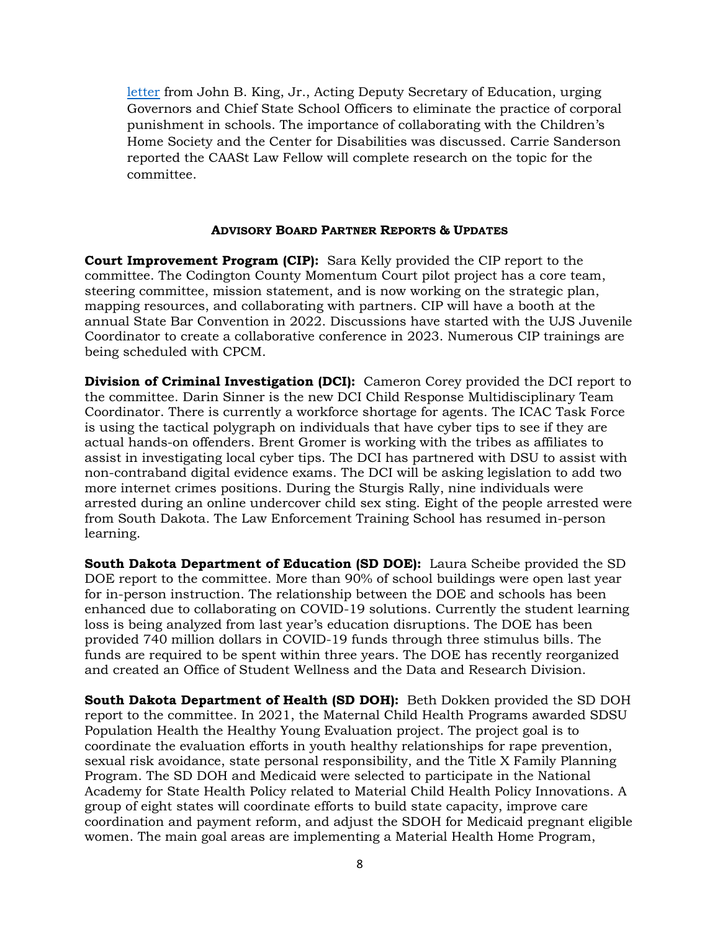[letter](https://www2.ed.gov/policy/gen/guid/school-discipline/files/corporal-punishment-dcl-11-22-2016.pdf) from John B. King, Jr., Acting Deputy Secretary of Education, urging Governors and Chief State School Officers to eliminate the practice of corporal punishment in schools. The importance of collaborating with the Children's Home Society and the Center for Disabilities was discussed. Carrie Sanderson reported the CAASt Law Fellow will complete research on the topic for the committee.

### **ADVISORY BOARD PARTNER REPORTS & UPDATES**

**Court Improvement Program (CIP):** Sara Kelly provided the CIP report to the committee. The Codington County Momentum Court pilot project has a core team, steering committee, mission statement, and is now working on the strategic plan, mapping resources, and collaborating with partners. CIP will have a booth at the annual State Bar Convention in 2022. Discussions have started with the UJS Juvenile Coordinator to create a collaborative conference in 2023. Numerous CIP trainings are being scheduled with CPCM.

**Division of Criminal Investigation (DCI):** Cameron Corey provided the DCI report to the committee. Darin Sinner is the new DCI Child Response Multidisciplinary Team Coordinator. There is currently a workforce shortage for agents. The ICAC Task Force is using the tactical polygraph on individuals that have cyber tips to see if they are actual hands-on offenders. Brent Gromer is working with the tribes as affiliates to assist in investigating local cyber tips. The DCI has partnered with DSU to assist with non-contraband digital evidence exams. The DCI will be asking legislation to add two more internet crimes positions. During the Sturgis Rally, nine individuals were arrested during an online undercover child sex sting. Eight of the people arrested were from South Dakota. The Law Enforcement Training School has resumed in-person learning.

**South Dakota Department of Education (SD DOE):** Laura Scheibe provided the SD DOE report to the committee. More than 90% of school buildings were open last year for in-person instruction. The relationship between the DOE and schools has been enhanced due to collaborating on COVID-19 solutions. Currently the student learning loss is being analyzed from last year's education disruptions. The DOE has been provided 740 million dollars in COVID-19 funds through three stimulus bills. The funds are required to be spent within three years. The DOE has recently reorganized and created an Office of Student Wellness and the Data and Research Division.

**South Dakota Department of Health (SD DOH):** Beth Dokken provided the SD DOH report to the committee. In 2021, the Maternal Child Health Programs awarded SDSU Population Health the Healthy Young Evaluation project. The project goal is to coordinate the evaluation efforts in youth healthy relationships for rape prevention, sexual risk avoidance, state personal responsibility, and the Title X Family Planning Program. The SD DOH and Medicaid were selected to participate in the National Academy for State Health Policy related to Material Child Health Policy Innovations. A group of eight states will coordinate efforts to build state capacity, improve care coordination and payment reform, and adjust the SDOH for Medicaid pregnant eligible women. The main goal areas are implementing a Material Health Home Program,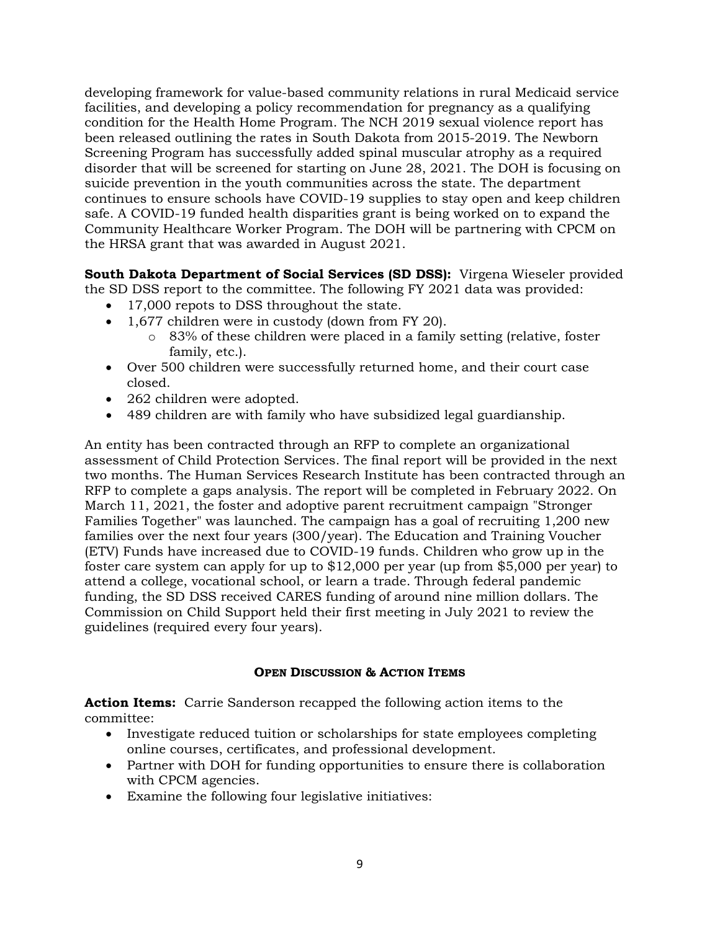developing framework for value-based community relations in rural Medicaid service facilities, and developing a policy recommendation for pregnancy as a qualifying condition for the Health Home Program. The NCH 2019 sexual violence report has been released outlining the rates in South Dakota from 2015-2019. The Newborn Screening Program has successfully added spinal muscular atrophy as a required disorder that will be screened for starting on June 28, 2021. The DOH is focusing on suicide prevention in the youth communities across the state. The department continues to ensure schools have COVID-19 supplies to stay open and keep children safe. A COVID-19 funded health disparities grant is being worked on to expand the Community Healthcare Worker Program. The DOH will be partnering with CPCM on the HRSA grant that was awarded in August 2021.

**South Dakota Department of Social Services (SD DSS):** Virgena Wieseler provided the SD DSS report to the committee. The following FY 2021 data was provided:

- 17,000 repots to DSS throughout the state.
- 1,677 children were in custody (down from FY 20).
	- o 83% of these children were placed in a family setting (relative, foster family, etc.).
- Over 500 children were successfully returned home, and their court case closed.
- 262 children were adopted.
- 489 children are with family who have subsidized legal guardianship.

An entity has been contracted through an RFP to complete an organizational assessment of Child Protection Services. The final report will be provided in the next two months. The Human Services Research Institute has been contracted through an RFP to complete a gaps analysis. The report will be completed in February 2022. On March 11, 2021, the foster and adoptive parent recruitment campaign "Stronger Families Together" was launched. The campaign has a goal of recruiting 1,200 new families over the next four years (300/year). The Education and Training Voucher (ETV) Funds have increased due to COVID-19 funds. Children who grow up in the foster care system can apply for up to \$12,000 per year (up from \$5,000 per year) to attend a college, vocational school, or learn a trade. Through federal pandemic funding, the SD DSS received CARES funding of around nine million dollars. The Commission on Child Support held their first meeting in July 2021 to review the guidelines (required every four years).

### **OPEN DISCUSSION & ACTION ITEMS**

**Action Items:** Carrie Sanderson recapped the following action items to the committee:

- Investigate reduced tuition or scholarships for state employees completing online courses, certificates, and professional development.
- Partner with DOH for funding opportunities to ensure there is collaboration with CPCM agencies.
- Examine the following four legislative initiatives: